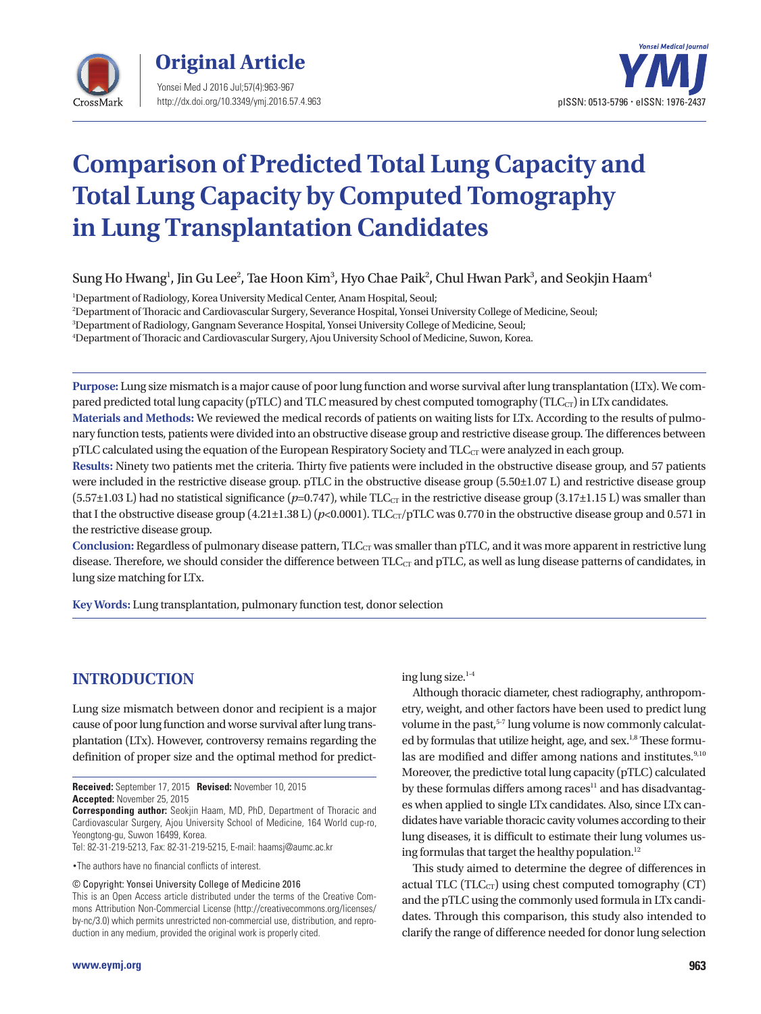

Yonsei Med J 2016 Jul;57(4):963-967 http://dx.doi.org/10.3349/ymj.2016.57.4.963 **Original Article** 



# **Comparison of Predicted Total Lung Capacity and Total Lung Capacity by Computed Tomography in Lung Transplantation Candidates**

Sung Ho Hwang<sup>1</sup>, Jin Gu Lee<sup>2</sup>, Tae Hoon Kim $^3$ , Hyo Chae Paik $^2$ , Chul Hwan Park $^3$ , and Seokjin Haam $^4$ 

1 Department of Radiology, Korea University Medical Center, Anam Hospital, Seoul;

2 Department of Thoracic and Cardiovascular Surgery, Severance Hospital, Yonsei University College of Medicine, Seoul;

3 Department of Radiology, Gangnam Severance Hospital, Yonsei University College of Medicine, Seoul;

4 Department of Thoracic and Cardiovascular Surgery, Ajou University School of Medicine, Suwon, Korea.

**Purpose:** Lung size mismatch is a major cause of poor lung function and worse survival after lung transplantation (LTx). We compared predicted total lung capacity (pTLC) and TLC measured by chest computed tomography (TLC<sub>CT</sub>) in LTx candidates.

**Materials and Methods:** We reviewed the medical records of patients on waiting lists for LTx. According to the results of pulmonary function tests, patients were divided into an obstructive disease group and restrictive disease group. The differences between pTLC calculated using the equation of the European Respiratory Society and  $TLC<sub>CT</sub>$  were analyzed in each group.

**Results:** Ninety two patients met the criteria. Thirty five patients were included in the obstructive disease group, and 57 patients were included in the restrictive disease group. pTLC in the obstructive disease group (5.50 $\pm$ 1.07 L) and restrictive disease group  $(5.57\pm1.03 \text{ L})$  had no statistical significance  $(p=0.747)$ , while TLC<sub>CT</sub> in the restrictive disease group  $(3.17\pm1.15 \text{ L})$  was smaller than that I the obstructive disease group  $(4.21\pm1.38 \text{ L})$  ( $p<0.0001$ ). TLC<sub>CT</sub>/pTLC was 0.770 in the obstructive disease group and 0.571 in the restrictive disease group.

**Conclusion:** Regardless of pulmonary disease pattern, TLC<sub>CT</sub> was smaller than pTLC, and it was more apparent in restrictive lung disease. Therefore, we should consider the difference between TLC<sub>CT</sub> and pTLC, as well as lung disease patterns of candidates, in lung size matching for LTx.

**Key Words:** Lung transplantation, pulmonary function test, donor selection

## **INTRODUCTION**

Lung size mismatch between donor and recipient is a major cause of poor lung function and worse survival after lung transplantation (LTx). However, controversy remains regarding the definition of proper size and the optimal method for predict-

**Received:** September 17, 2015 **Revised:** November 10, 2015 **Accepted:** November 25, 2015

Tel: 82-31-219-5213, Fax: 82-31-219-5215, E-mail: haamsj@aumc.ac.kr

•The authors have no financial conflicts of interest.

© Copyright: Yonsei University College of Medicine 2016

This is an Open Access article distributed under the terms of the Creative Commons Attribution Non-Commercial License (http://creativecommons.org/licenses/ by-nc/3.0) which permits unrestricted non-commercial use, distribution, and reproduction in any medium, provided the original work is properly cited.

ing lung size.<sup>1-4</sup>

Although thoracic diameter, chest radiography, anthropometry, weight, and other factors have been used to predict lung volume in the past,<sup>5-7</sup> lung volume is now commonly calculated by formulas that utilize height, age, and sex.<sup>1,8</sup> These formulas are modified and differ among nations and institutes.<sup>9,10</sup> Moreover, the predictive total lung capacity (pTLC) calculated by these formulas differs among  $races<sup>11</sup>$  and has disadvantages when applied to single LTx candidates. Also, since LTx candidates have variable thoracic cavity volumes according to their lung diseases, it is difficult to estimate their lung volumes using formulas that target the healthy population. $12$ 

This study aimed to determine the degree of differences in actual TLC (TLC $_{CT}$ ) using chest computed tomography (CT) and the pTLC using the commonly used formula in LTx candidates. Through this comparison, this study also intended to clarify the range of difference needed for donor lung selection

**Corresponding author:** Seokjin Haam, MD, PhD, Department of Thoracic and Cardiovascular Surgery, Ajou University School of Medicine, 164 World cup-ro, Yeongtong-gu, Suwon 16499, Korea.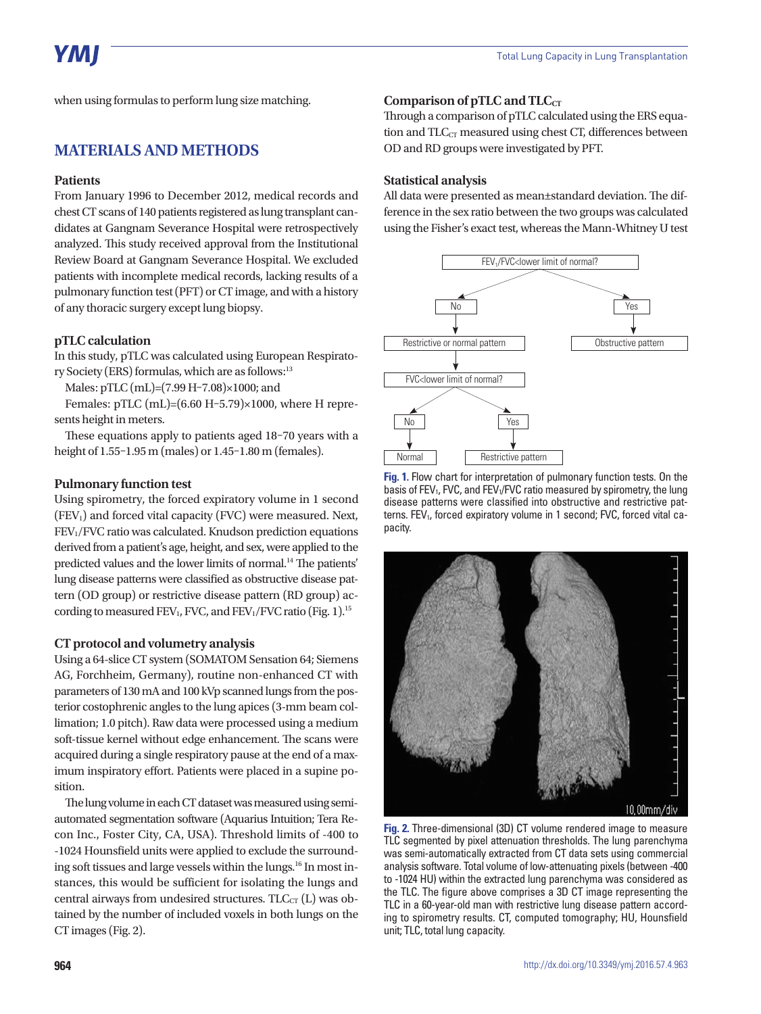when using formulas to perform lung size matching.

## **MATERIALS AND METHODS**

#### **Patients**

From January 1996 to December 2012, medical records and chest CT scans of 140 patients registered as lung transplant candidates at Gangnam Severance Hospital were retrospectively analyzed. This study received approval from the Institutional Review Board at Gangnam Severance Hospital. We excluded patients with incomplete medical records, lacking results of a pulmonary function test (PFT) or CT image, and with a history of any thoracic surgery except lung biopsy.

#### **pTLC calculation**

In this study, pTLC was calculated using European Respiratory Society (ERS) formulas, which are as follows:<sup>13</sup>

Males: pTLC (mL)=(7.99 H–7.08)×1000; and

Females: pTLC (mL)=(6.60 H–5.79)×1000, where H represents height in meters.

These equations apply to patients aged 18–70 years with a height of 1.55–1.95 m (males) or 1.45–1.80 m (females).

#### **Pulmonary function test**

Using spirometry, the forced expiratory volume in 1 second  $(FEV<sub>1</sub>)$  and forced vital capacity  $(FVC)$  were measured. Next, FEV1/FVC ratio was calculated. Knudson prediction equations derived from a patient's age, height, and sex, were applied to the predicted values and the lower limits of normal.<sup>14</sup> The patients' lung disease patterns were classified as obstructive disease pattern (OD group) or restrictive disease pattern (RD group) according to measured FEV<sub>1</sub>, FVC, and FEV<sub>1</sub>/FVC ratio (Fig. 1).<sup>15</sup>

#### **CT protocol and volumetry analysis**

Using a 64-slice CT system (SOMATOM Sensation 64; Siemens AG, Forchheim, Germany), routine non-enhanced CT with parameters of 130 mA and 100 kVp scanned lungs from the posterior costophrenic angles to the lung apices (3-mm beam collimation; 1.0 pitch). Raw data were processed using a medium soft-tissue kernel without edge enhancement. The scans were acquired during a single respiratory pause at the end of a maximum inspiratory effort. Patients were placed in a supine position.

The lung volume in each CT dataset was measured using semiautomated segmentation software (Aquarius Intuition; Tera Recon Inc., Foster City, CA, USA). Threshold limits of -400 to -1024 Hounsfield units were applied to exclude the surrounding soft tissues and large vessels within the lungs.<sup>16</sup> In most instances, this would be sufficient for isolating the lungs and central airways from undesired structures.  $TLC<sub>CT</sub>$  (L) was obtained by the number of included voxels in both lungs on the CT images (Fig. 2).

#### **Comparison of pTLC and TLC<sub>CT</sub>**

Through a comparison of pTLC calculated using the ERS equation and  $TLC<sub>CT</sub>$  measured using chest CT, differences between OD and RD groups were investigated by PFT.

#### **Statistical analysis**

All data were presented as mean±standard deviation. The difference in the sex ratio between the two groups was calculated using the Fisher's exact test, whereas the Mann-Whitney U test



**Fig. 1.** Flow chart for interpretation of pulmonary function tests. On the basis of FEV<sub>1</sub>, FVC, and FEV<sub>1</sub>/FVC ratio measured by spirometry, the lung disease patterns were classified into obstructive and restrictive patterns. FEV<sub>1</sub>, forced expiratory volume in 1 second; FVC, forced vital capacity.



**Fig. 2.** Three-dimensional (3D) CT volume rendered image to measure TLC segmented by pixel attenuation thresholds. The lung parenchyma was semi-automatically extracted from CT data sets using commercial analysis software. Total volume of low-attenuating pixels (between -400 to -1024 HU) within the extracted lung parenchyma was considered as the TLC. The figure above comprises a 3D CT image representing the TLC in a 60-year-old man with restrictive lung disease pattern according to spirometry results. CT, computed tomography; HU, Hounsfield unit; TLC, total lung capacity.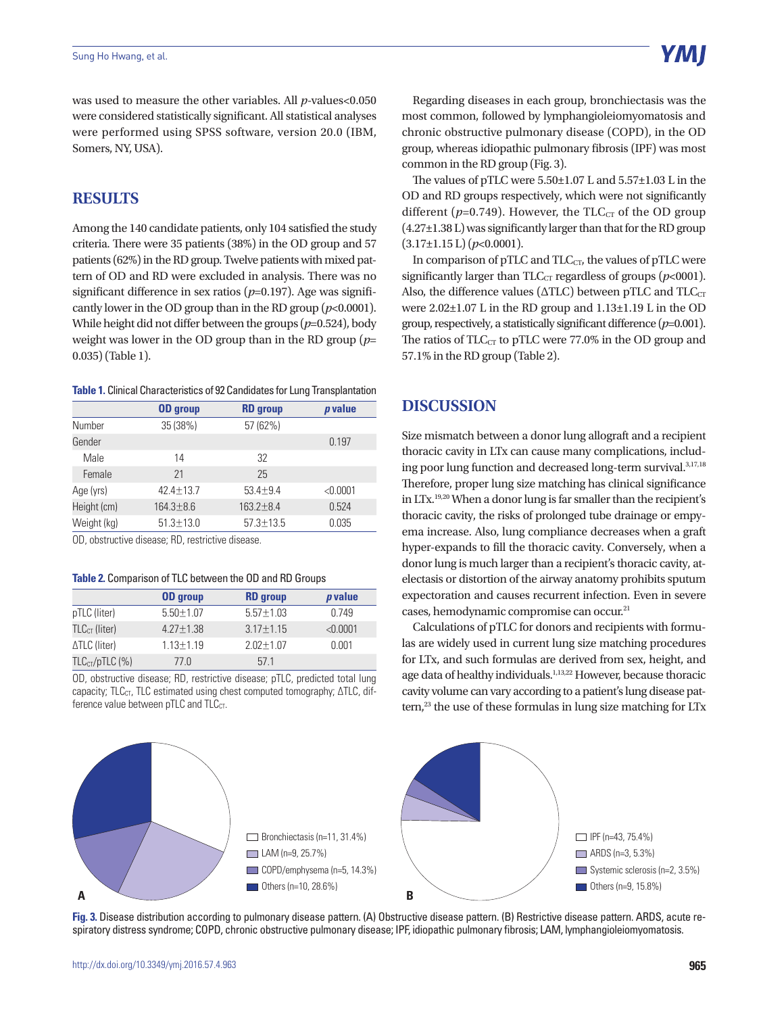was used to measure the other variables. All *p*-values<0.050 were considered statistically significant. All statistical analyses were performed using SPSS software, version 20.0 (IBM, Somers, NY, USA).

## **RESULTS**

Among the 140 candidate patients, only 104 satisfied the study criteria. There were 35 patients (38%) in the OD group and 57 patients (62%) in the RD group. Twelve patients with mixed pattern of OD and RD were excluded in analysis. There was no significant difference in sex ratios (*p*=0.197). Age was significantly lower in the OD group than in the RD group  $(p<0.0001)$ . While height did not differ between the groups ( $p=0.524$ ), body weight was lower in the OD group than in the RD group (*p*= 0.035) (Table 1).

**Table 1.** Clinical Characteristics of 92 Candidates for Lung Transplantation

|             | <b>OD</b> group | <b>RD</b> group | <i>p</i> value |
|-------------|-----------------|-----------------|----------------|
| Number      | 35 (38%)        | 57 (62%)        |                |
| Gender      |                 |                 | 0.197          |
| Male        | 14              | 32              |                |
| Female      | 21              | 25              |                |
| Age (yrs)   | $42.4 + 13.7$   | $53.4 + 9.4$    | < 0.0001       |
| Height (cm) | $164.3 + 8.6$   | $163.2 + 8.4$   | 0.524          |
| Weight (kg) | $51.3 \pm 13.0$ | $57.3 \pm 13.5$ | 0.035          |

OD, obstructive disease; RD, restrictive disease.

#### **Table 2.** Comparison of TLC between the OD and RD Groups

|                  | <b>OD</b> group | <b>RD</b> group | <i>p</i> value |
|------------------|-----------------|-----------------|----------------|
| pTLC (liter)     | $5.50 + 1.07$   | $5.57 + 1.03$   | በ 749          |
| $TLCCT$ (liter)  | $4.27 \pm 1.38$ | $3.17 \pm 1.15$ | < 0.0001       |
| ∆TLC (liter)     | $1.13 \pm 1.19$ | $2.02 + 1.07$   | 0.001          |
| $TLCCT/pTLC$ (%) | 77 Q            | 571             |                |

OD, obstructive disease; RD, restrictive disease; pTLC, predicted total lung capacity; TLC<sub>CT</sub>, TLC estimated using chest computed tomography; ΔTLC, difference value between pTLC and TLC<sub>CT</sub>.

Regarding diseases in each group, bronchiectasis was the most common, followed by lymphangioleiomyomatosis and chronic obstructive pulmonary disease (COPD), in the OD group, whereas idiopathic pulmonary fibrosis (IPF) was most common in the RD group (Fig. 3).

The values of pTLC were 5.50±1.07 L and 5.57±1.03 L in the OD and RD groups respectively, which were not significantly different ( $p=0.749$ ). However, the TLC<sub>CT</sub> of the OD group (4.27±1.38 L) was significantly larger than that for the RD group (3.17±1.15 L) (*p*<0.0001).

In comparison of pTLC and  $TLC_{CT}$ , the values of pTLC were significantly larger than  $TLC_{CT}$  regardless of groups ( $p<0001$ ). Also, the difference values ( $\triangle TLC$ ) between pTLC and  $TLC_{CT}$ were 2.02±1.07 L in the RD group and 1.13±1.19 L in the OD group, respectively, a statistically significant difference  $(p=0.001)$ . The ratios of  $TLC_{CT}$  to pTLC were 77.0% in the OD group and 57.1% in the RD group (Table 2).

## **DISCUSSION**

Size mismatch between a donor lung allograft and a recipient thoracic cavity in LTx can cause many complications, including poor lung function and decreased long-term survival.<sup>3,17,18</sup> Therefore, proper lung size matching has clinical significance in LTx.19,20 When a donor lung is far smaller than the recipient's thoracic cavity, the risks of prolonged tube drainage or empyema increase. Also, lung compliance decreases when a graft hyper-expands to fill the thoracic cavity. Conversely, when a donor lung is much larger than a recipient's thoracic cavity, atelectasis or distortion of the airway anatomy prohibits sputum expectoration and causes recurrent infection. Even in severe cases, hemodynamic compromise can occur.<sup>21</sup>

Calculations of pTLC for donors and recipients with formulas are widely used in current lung size matching procedures for LTx, and such formulas are derived from sex, height, and age data of healthy individuals.<sup>1,13,22</sup> However, because thoracic cavity volume can vary according to a patient's lung disease pat $tern<sub>1</sub><sup>23</sup>$  the use of these formulas in lung size matching for LTx



**Fig. 3.** Disease distribution according to pulmonary disease pattern. (A) Obstructive disease pattern. (B) Restrictive disease pattern. ARDS, acute respiratory distress syndrome; COPD, chronic obstructive pulmonary disease; IPF, idiopathic pulmonary fibrosis; LAM, lymphangioleiomyomatosis.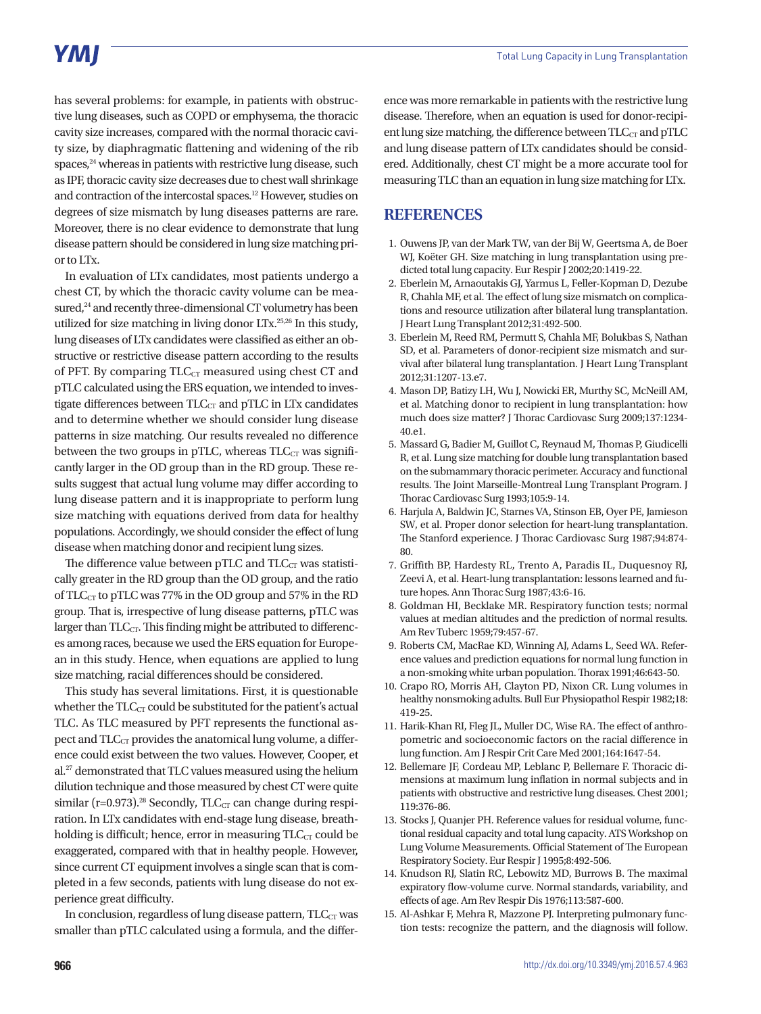## **YMI**

has several problems: for example, in patients with obstructive lung diseases, such as COPD or emphysema, the thoracic cavity size increases, compared with the normal thoracic cavity size, by diaphragmatic flattening and widening of the rib spaces,<sup>24</sup> whereas in patients with restrictive lung disease, such as IPF, thoracic cavity size decreases due to chest wall shrinkage and contraction of the intercostal spaces.12 However, studies on degrees of size mismatch by lung diseases patterns are rare. Moreover, there is no clear evidence to demonstrate that lung disease pattern should be considered in lung size matching prior to LTx.

In evaluation of LTx candidates, most patients undergo a chest CT, by which the thoracic cavity volume can be measured,<sup>24</sup> and recently three-dimensional CT volumetry has been utilized for size matching in living donor LTx.25,26 In this study, lung diseases of LTx candidates were classified as either an obstructive or restrictive disease pattern according to the results of PFT. By comparing  $TLC_{CT}$  measured using chest CT and pTLC calculated using the ERS equation, we intended to investigate differences between TLC<sub>CT</sub> and pTLC in LTx candidates and to determine whether we should consider lung disease patterns in size matching. Our results revealed no difference between the two groups in pTLC, whereas  $TLC<sub>CT</sub>$  was significantly larger in the OD group than in the RD group. These results suggest that actual lung volume may differ according to lung disease pattern and it is inappropriate to perform lung size matching with equations derived from data for healthy populations. Accordingly, we should consider the effect of lung disease when matching donor and recipient lung sizes.

The difference value between pTLC and  $TLC<sub>CT</sub>$  was statistically greater in the RD group than the OD group, and the ratio of TLC<sub>CT</sub> to pTLC was 77% in the OD group and 57% in the RD group. That is, irrespective of lung disease patterns, pTLC was larger than  $TLC<sub>CT</sub>$ . This finding might be attributed to differences among races, because we used the ERS equation for European in this study. Hence, when equations are applied to lung size matching, racial differences should be considered.

This study has several limitations. First, it is questionable whether the  $TLC_{CT}$  could be substituted for the patient's actual TLC. As TLC measured by PFT represents the functional aspect and  $TLC<sub>CT</sub>$  provides the anatomical lung volume, a difference could exist between the two values. However, Cooper, et al.27 demonstrated that TLC values measured using the helium dilution technique and those measured by chest CT were quite similar (r=0.973).<sup>28</sup> Secondly, TLC<sub>CT</sub> can change during respiration. In LTx candidates with end-stage lung disease, breathholding is difficult; hence, error in measuring  $TLC_{CT}$  could be exaggerated, compared with that in healthy people. However, since current CT equipment involves a single scan that is completed in a few seconds, patients with lung disease do not experience great difficulty.

In conclusion, regardless of lung disease pattern,  $TLC<sub>CT</sub>$  was smaller than pTLC calculated using a formula, and the differ-

ence was more remarkable in patients with the restrictive lung disease. Therefore, when an equation is used for donor-recipient lung size matching, the difference between  $TLC<sub>CT</sub>$  and p $TLC$ and lung disease pattern of LTx candidates should be considered. Additionally, chest CT might be a more accurate tool for measuring TLC than an equation in lung size matching for LTx.

### **REFERENCES**

- 1. Ouwens JP, van der Mark TW, van der Bij W, Geertsma A, de Boer WJ, Koëter GH. Size matching in lung transplantation using predicted total lung capacity. Eur Respir J 2002;20:1419-22.
- 2. Eberlein M, Arnaoutakis GJ, Yarmus L, Feller-Kopman D, Dezube R, Chahla MF, et al. The effect of lung size mismatch on complications and resource utilization after bilateral lung transplantation. J Heart Lung Transplant 2012;31:492-500.
- 3. Eberlein M, Reed RM, Permutt S, Chahla MF, Bolukbas S, Nathan SD, et al. Parameters of donor-recipient size mismatch and survival after bilateral lung transplantation. J Heart Lung Transplant 2012;31:1207-13.e7.
- 4. Mason DP, Batizy LH, Wu J, Nowicki ER, Murthy SC, McNeill AM, et al. Matching donor to recipient in lung transplantation: how much does size matter? J Thorac Cardiovasc Surg 2009;137:1234- 40.e1.
- 5. Massard G, Badier M, Guillot C, Reynaud M, Thomas P, Giudicelli R, et al. Lung size matching for double lung transplantation based on the submammary thoracic perimeter. Accuracy and functional results. The Joint Marseille-Montreal Lung Transplant Program. J Thorac Cardiovasc Surg 1993;105:9-14.
- 6. Harjula A, Baldwin JC, Starnes VA, Stinson EB, Oyer PE, Jamieson SW, et al. Proper donor selection for heart-lung transplantation. The Stanford experience. J Thorac Cardiovasc Surg 1987;94:874- 80.
- 7. Griffith BP, Hardesty RL, Trento A, Paradis IL, Duquesnoy RJ, Zeevi A, et al. Heart-lung transplantation: lessons learned and future hopes. Ann Thorac Surg 1987;43:6-16.
- 8. Goldman HI, Becklake MR. Respiratory function tests; normal values at median altitudes and the prediction of normal results. Am Rev Tuberc 1959;79:457-67.
- 9. Roberts CM, MacRae KD, Winning AJ, Adams L, Seed WA. Reference values and prediction equations for normal lung function in a non-smoking white urban population. Thorax 1991;46:643-50.
- 10. Crapo RO, Morris AH, Clayton PD, Nixon CR. Lung volumes in healthy nonsmoking adults. Bull Eur Physiopathol Respir 1982;18: 419-25.
- 11. Harik-Khan RI, Fleg JL, Muller DC, Wise RA. The effect of anthropometric and socioeconomic factors on the racial difference in lung function. Am J Respir Crit Care Med 2001;164:1647-54.
- 12. Bellemare JF, Cordeau MP, Leblanc P, Bellemare F. Thoracic dimensions at maximum lung inflation in normal subjects and in patients with obstructive and restrictive lung diseases. Chest 2001; 119:376-86.
- 13. Stocks J, Quanjer PH. Reference values for residual volume, functional residual capacity and total lung capacity. ATS Workshop on Lung Volume Measurements. Official Statement of The European Respiratory Society. Eur Respir J 1995;8:492-506.
- 14. Knudson RJ, Slatin RC, Lebowitz MD, Burrows B. The maximal expiratory flow-volume curve. Normal standards, variability, and effects of age. Am Rev Respir Dis 1976;113:587-600.
- 15. Al-Ashkar F, Mehra R, Mazzone PJ. Interpreting pulmonary function tests: recognize the pattern, and the diagnosis will follow.